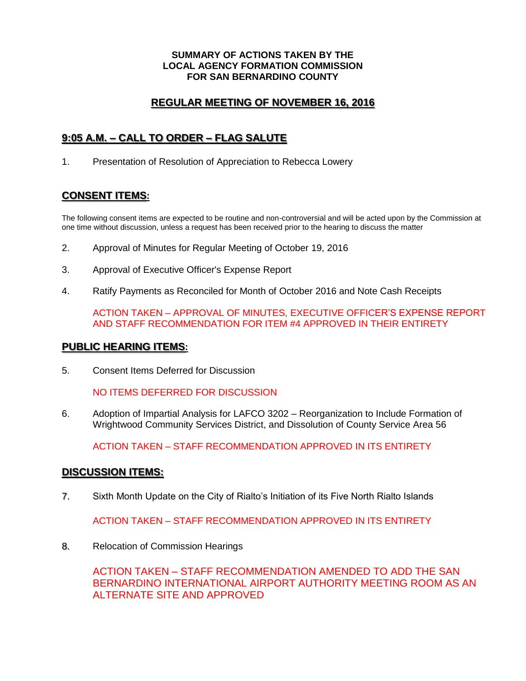#### **SUMMARY OF ACTIONS TAKEN BY THE LOCAL AGENCY FORMATION COMMISSION FOR SAN BERNARDINO COUNTY**

### **REGULAR MEETING OF NOVEMBER 16, 2016**

## **9:05 A.M. – CALL TO ORDER – FLAG SALUTE**

1. Presentation of Resolution of Appreciation to Rebecca Lowery

# **CONSENT ITEMS:**

The following consent items are expected to be routine and non-controversial and will be acted upon by the Commission at one time without discussion, unless a request has been received prior to the hearing to discuss the matter

- 2. Approval of Minutes for Regular Meeting of October 19, 2016
- 3. Approval of Executive Officer's Expense Report
- 4. Ratify Payments as Reconciled for Month of October 2016 and Note Cash Receipts

ACTION TAKEN – APPROVAL OF MINUTES, EXECUTIVE OFFICER'S EXPENSE REPORT AND STAFF RECOMMENDATION FOR ITEM #4 APPROVED IN THEIR ENTIRETY

### **PUBLIC HEARING ITEMS:**

5. Consent Items Deferred for Discussion

NO ITEMS DEFERRED FOR DISCUSSION

6. Adoption of Impartial Analysis for LAFCO 3202 – Reorganization to Include Formation of Wrightwood Community Services District, and Dissolution of County Service Area 56

ACTION TAKEN – STAFF RECOMMENDATION APPROVED IN ITS ENTIRETY

### **DISCUSSION ITEMS:**

7. Sixth Month Update on the City of Rialto's Initiation of its Five North Rialto Islands

ACTION TAKEN – STAFF RECOMMENDATION APPROVED IN ITS ENTIRETY

8. Relocation of Commission Hearings

ACTION TAKEN – STAFF RECOMMENDATION AMENDED TO ADD THE SAN BERNARDINO INTERNATIONAL AIRPORT AUTHORITY MEETING ROOM AS AN ALTERNATE SITE AND APPROVED